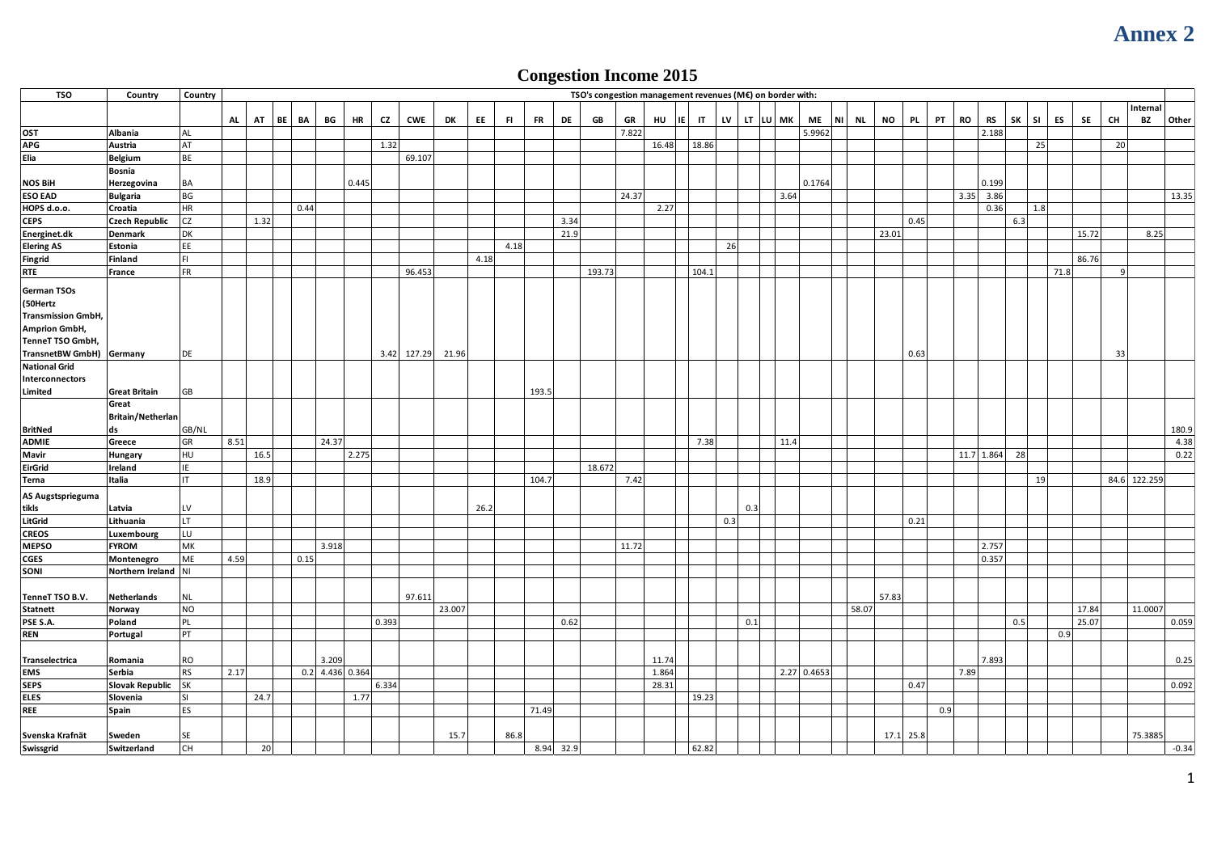## **Congestion Income 2015**

|                                                  |                                  |                 |      |      |    |      |                 |       |       |             |           |                  |             |        |             | <b>Congestion Income 2015</b>                             |              |     |          |      |               |                                     |             |     |           |                     |          |      |       |    |              |              |
|--------------------------------------------------|----------------------------------|-----------------|------|------|----|------|-----------------|-------|-------|-------------|-----------|------------------|-------------|--------|-------------|-----------------------------------------------------------|--------------|-----|----------|------|---------------|-------------------------------------|-------------|-----|-----------|---------------------|----------|------|-------|----|--------------|--------------|
| <b>TSO</b>                                       | Country                          | Country         |      |      |    |      |                 |       |       |             |           |                  |             |        |             | TSO's congestion management revenues (M€) on border with: |              |     |          |      |               |                                     |             |     |           |                     |          |      |       |    |              |              |
|                                                  |                                  |                 |      |      |    |      |                 |       |       |             |           |                  |             |        |             |                                                           |              |     |          |      |               |                                     |             |     |           |                     |          |      |       |    | Internal     |              |
| OST                                              | Albania                          | AL              | AL   | AT   | BE | BA   | BG              | HR    | CZ    | <b>CWE</b>  | DK<br>EE. | <b>FR</b><br>FI. | DE          | GB     | GR<br>7.822 | HU<br>IE.                                                 | $\mathbf{H}$ | LV  | LT LU MK |      | ME<br>5.9962  | <b>NL</b><br><b>NO</b><br><b>NI</b> | <b>PL</b>   | PT  | <b>RO</b> | RS<br>2.188         | SK<br>SI | ES   | SE    | CH | BZ           | Other        |
| <b>APG</b>                                       | Austria                          | AT              |      |      |    |      |                 |       | 1.32  |             |           |                  |             |        |             | 16.48                                                     | 18.86        |     |          |      |               |                                     |             |     |           |                     |          | 25   |       | 20 |              |              |
| Elia                                             | Belgium                          | <b>BE</b>       |      |      |    |      |                 |       |       | 69.107      |           |                  |             |        |             |                                                           |              |     |          |      |               |                                     |             |     |           |                     |          |      |       |    |              |              |
|                                                  | Bosnia                           |                 |      |      |    |      |                 |       |       |             |           |                  |             |        |             |                                                           |              |     |          |      |               |                                     |             |     |           |                     |          |      |       |    |              |              |
| <b>NOS BiH</b>                                   | Herzegovina                      | <b>BA</b>       |      |      |    |      |                 | 0.445 |       |             |           |                  |             |        |             |                                                           |              |     |          |      | 0.1764        |                                     |             |     |           | 0.199               |          |      |       |    |              |              |
| <b>ESO EAD</b>                                   | <b>Bulgaria</b>                  | BG<br>$\sf HR$  |      |      |    | 0.44 |                 |       |       |             |           |                  |             |        | 24.37       | 2.27                                                      |              |     |          | 3.64 |               |                                     |             |     |           | $3.35$ 3.86<br>0.36 | 1.8      |      |       |    |              | 13.35        |
| HOPS d.o.o.<br><b>CEPS</b>                       | Croatia<br><b>Czech Republic</b> | <b>CZ</b>       |      | 1.32 |    |      |                 |       |       |             |           |                  | 3.34        |        |             |                                                           |              |     |          |      |               |                                     | 0.45        |     |           |                     | 6.3      |      |       |    |              |              |
| Energinet.dk                                     | Denmark                          | DK              |      |      |    |      |                 |       |       |             |           |                  | 21.9        |        |             |                                                           |              |     |          |      |               | 23.01                               |             |     |           |                     |          |      | 15.72 |    | 8.25         |              |
| <b>Elering AS</b>                                | Estonia                          | EE              |      |      |    |      |                 |       |       |             |           | 4.18             |             |        |             |                                                           |              | 26  |          |      |               |                                     |             |     |           |                     |          |      |       |    |              |              |
| <b>Fingrid</b>                                   | Finland                          | FL              |      |      |    |      |                 |       |       |             | 4.18      |                  |             |        |             |                                                           |              |     |          |      |               |                                     |             |     |           |                     |          |      | 86.76 |    |              |              |
| <b>RTE</b>                                       | France                           | FR              |      |      |    |      |                 |       |       | 96.453      |           |                  |             | 193.73 |             |                                                           | 104.1        |     |          |      |               |                                     |             |     |           |                     |          | 71.8 |       | 9  |              |              |
| German TSOs                                      |                                  |                 |      |      |    |      |                 |       |       |             |           |                  |             |        |             |                                                           |              |     |          |      |               |                                     |             |     |           |                     |          |      |       |    |              |              |
| (50Hertz                                         |                                  |                 |      |      |    |      |                 |       |       |             |           |                  |             |        |             |                                                           |              |     |          |      |               |                                     |             |     |           |                     |          |      |       |    |              |              |
| <b>Transmission GmbH,</b>                        |                                  |                 |      |      |    |      |                 |       |       |             |           |                  |             |        |             |                                                           |              |     |          |      |               |                                     |             |     |           |                     |          |      |       |    |              |              |
| <b>Amprion GmbH,</b>                             |                                  |                 |      |      |    |      |                 |       |       |             |           |                  |             |        |             |                                                           |              |     |          |      |               |                                     |             |     |           |                     |          |      |       |    |              |              |
| TenneT TSO GmbH,                                 |                                  |                 |      |      |    |      |                 |       |       |             |           |                  |             |        |             |                                                           |              |     |          |      |               |                                     |             |     |           |                     |          |      |       |    |              |              |
| TransnetBW GmbH) Germany<br><b>National Grid</b> |                                  | DE              |      |      |    |      |                 |       |       | 3.42 127.29 | 21.96     |                  |             |        |             |                                                           |              |     |          |      |               |                                     | 0.63        |     |           |                     |          |      |       | 33 |              |              |
| Interconnectors                                  |                                  |                 |      |      |    |      |                 |       |       |             |           |                  |             |        |             |                                                           |              |     |          |      |               |                                     |             |     |           |                     |          |      |       |    |              |              |
| Limited                                          | <b>Great Britain</b>             | GB              |      |      |    |      |                 |       |       |             |           | 193.5            |             |        |             |                                                           |              |     |          |      |               |                                     |             |     |           |                     |          |      |       |    |              |              |
|                                                  | Great                            |                 |      |      |    |      |                 |       |       |             |           |                  |             |        |             |                                                           |              |     |          |      |               |                                     |             |     |           |                     |          |      |       |    |              |              |
|                                                  | Britain/Netherlan                |                 |      |      |    |      |                 |       |       |             |           |                  |             |        |             |                                                           |              |     |          |      |               |                                     |             |     |           |                     |          |      |       |    |              |              |
| <b>BritNed</b>                                   | ds                               | GB/NL           |      |      |    |      |                 |       |       |             |           |                  |             |        |             |                                                           |              |     |          |      |               |                                     |             |     |           |                     |          |      |       |    |              | 180.9        |
| <b>ADMIE</b><br>Mavir                            | Greece<br>Hungary                | GR<br>HU        | 8.51 | 16.5 |    |      | 24.37           | 2.275 |       |             |           |                  |             |        |             |                                                           | 7.38         |     |          | 11.4 |               |                                     |             |     |           | 11.7 1.864          | 28       |      |       |    |              | 4.38<br>0.22 |
| <b>EirGrid</b>                                   | Ireland                          | IE.             |      |      |    |      |                 |       |       |             |           |                  |             | 18.672 |             |                                                           |              |     |          |      |               |                                     |             |     |           |                     |          |      |       |    |              |              |
| Terna                                            | Italia                           | IT.             |      | 18.9 |    |      |                 |       |       |             |           | 104.7            |             |        | 7.42        |                                                           |              |     |          |      |               |                                     |             |     |           |                     |          | 19   |       |    | 84.6 122.259 |              |
| AS Augstsprieguma                                |                                  |                 |      |      |    |      |                 |       |       |             |           |                  |             |        |             |                                                           |              |     |          |      |               |                                     |             |     |           |                     |          |      |       |    |              |              |
| tikls                                            | Latvia                           | LV              |      |      |    |      |                 |       |       |             | 26.2      |                  |             |        |             |                                                           |              |     | 0.3      |      |               |                                     |             |     |           |                     |          |      |       |    |              |              |
| LitGrid                                          | Lithuania                        | LT.             |      |      |    |      |                 |       |       |             |           |                  |             |        |             |                                                           |              | 0.3 |          |      |               |                                     | 0.21        |     |           |                     |          |      |       |    |              |              |
| <b>CREOS</b>                                     | Luxembourg                       | LU              |      |      |    |      |                 |       |       |             |           |                  |             |        |             |                                                           |              |     |          |      |               |                                     |             |     |           |                     |          |      |       |    |              |              |
| <b>MEPSO</b>                                     | <b>FYROM</b>                     | MK              |      |      |    |      | 3.918           |       |       |             |           |                  |             |        | 11.72       |                                                           |              |     |          |      |               |                                     |             |     |           | 2.757               |          |      |       |    |              |              |
| <b>CGES</b><br>SONI                              | Montenegro                       | ME              | 4.59 |      |    | 0.15 |                 |       |       |             |           |                  |             |        |             |                                                           |              |     |          |      |               |                                     |             |     |           | 0.357               |          |      |       |    |              |              |
|                                                  | Northern Ireland NI              |                 |      |      |    |      |                 |       |       |             |           |                  |             |        |             |                                                           |              |     |          |      |               |                                     |             |     |           |                     |          |      |       |    |              |              |
| TenneT TSO B.V.                                  | Netherlands                      | $\sf NL$        |      |      |    |      |                 |       |       | 97.611      |           |                  |             |        |             |                                                           |              |     |          |      |               | 57.83                               |             |     |           |                     |          |      |       |    |              |              |
| <b>Statnett</b>                                  | Norway                           | N <sub>O</sub>  |      |      |    |      |                 |       |       |             | 23.007    |                  |             |        |             |                                                           |              |     |          |      |               | 58.07                               |             |     |           |                     |          |      | 17.84 |    | 11.0007      |              |
| PSE S.A.                                         | Poland                           | PL              |      |      |    |      |                 |       | 0.393 |             |           |                  | 0.62        |        |             |                                                           |              |     | 0.1      |      |               |                                     |             |     |           |                     | 0.5      |      | 25.07 |    |              | 0.059        |
| <b>REN</b>                                       | Portugal                         | PT              |      |      |    |      |                 |       |       |             |           |                  |             |        |             |                                                           |              |     |          |      |               |                                     |             |     |           |                     |          | 0.9  |       |    |              |              |
|                                                  |                                  |                 |      |      |    |      |                 |       |       |             |           |                  |             |        |             |                                                           |              |     |          |      |               |                                     |             |     |           |                     |          |      |       |    |              |              |
| Transelectrica                                   | Romania                          | <b>RO</b>       |      |      |    |      | 3.209           |       |       |             |           |                  |             |        |             | 11.74                                                     |              |     |          |      |               |                                     |             |     |           | 7.893               |          |      |       |    |              | 0.25         |
| EMS<br><b>SEPS</b>                               | Serbia<br>Slovak Republic SK     | <b>RS</b>       | 2.17 |      |    |      | 0.2 4.436 0.364 |       | 6.334 |             |           |                  |             |        |             | 1.864<br>28.31                                            |              |     |          |      | $2.27$ 0.4653 |                                     | 0.47        |     | 7.89      |                     |          |      |       |    |              | 0.092        |
| <b>ELES</b>                                      | Slovenia                         | SI <sub>.</sub> |      | 24.7 |    |      |                 | 1.77  |       |             |           |                  |             |        |             |                                                           | 19.23        |     |          |      |               |                                     |             |     |           |                     |          |      |       |    |              |              |
| <b>REE</b>                                       | Spain                            | ES              |      |      |    |      |                 |       |       |             |           | 71.49            |             |        |             |                                                           |              |     |          |      |               |                                     |             | 0.9 |           |                     |          |      |       |    |              |              |
|                                                  |                                  |                 |      |      |    |      |                 |       |       |             |           |                  |             |        |             |                                                           |              |     |          |      |               |                                     |             |     |           |                     |          |      |       |    |              |              |
| Svenska Krafnät                                  | Sweden                           | SE              |      |      |    |      |                 |       |       |             | 15.7      | 86.8             |             |        |             |                                                           |              |     |          |      |               |                                     | $17.1$ 25.8 |     |           |                     |          |      |       |    | 75.3885      |              |
| Swissgrid                                        | Switzerland                      | <b>CH</b>       |      | 20   |    |      |                 |       |       |             |           |                  | $8.94$ 32.9 |        |             |                                                           | 62.82        |     |          |      |               |                                     |             |     |           |                     |          |      |       |    |              | $-0.34$      |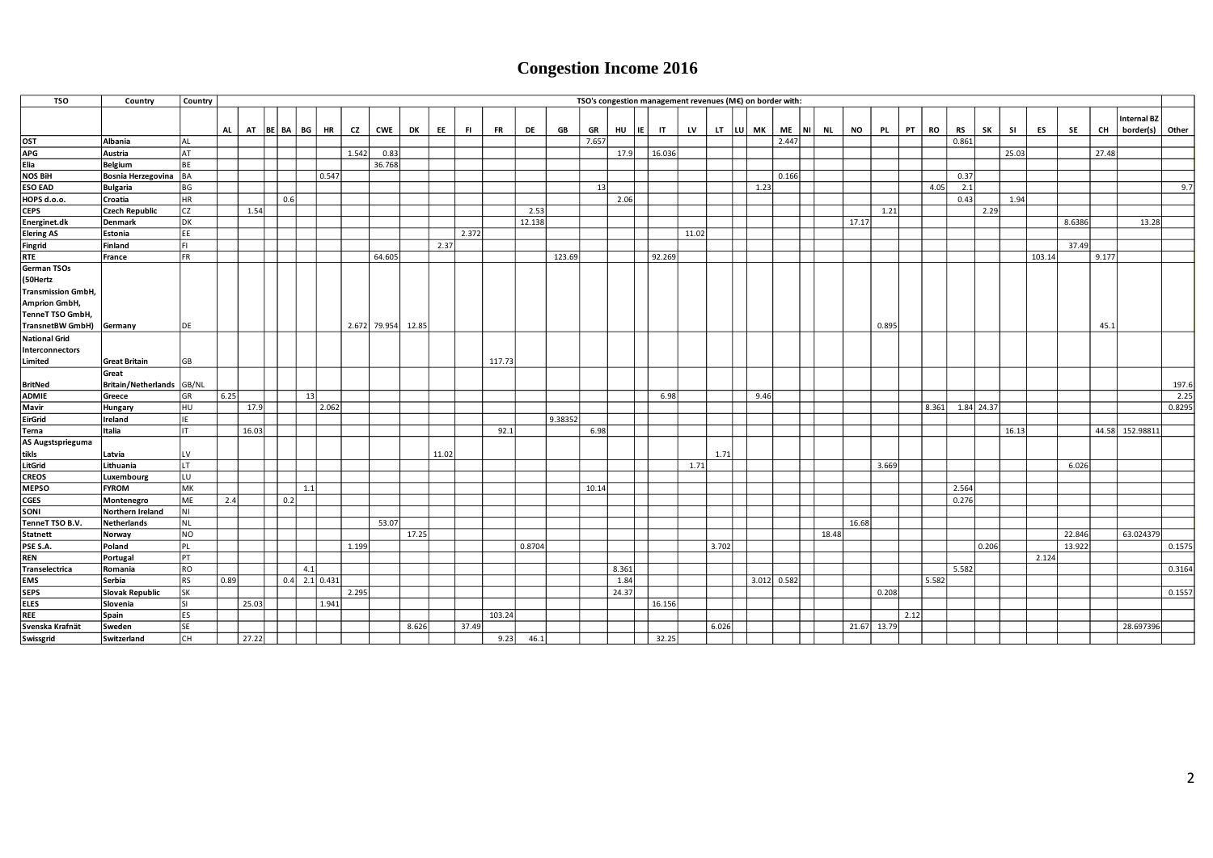## **Congestion Income 2016**

| <b>TSO</b>                        | Country                          | Country                |           |             |     |                 |       |                    |       |       |       |           |        |         |       |            |              |       | TSO's congestion management revenues (M€) on border with: |      |             |   |           |             |           |      |           |             |       |           |        |        |       |                    |        |
|-----------------------------------|----------------------------------|------------------------|-----------|-------------|-----|-----------------|-------|--------------------|-------|-------|-------|-----------|--------|---------|-------|------------|--------------|-------|-----------------------------------------------------------|------|-------------|---|-----------|-------------|-----------|------|-----------|-------------|-------|-----------|--------|--------|-------|--------------------|--------|
|                                   |                                  |                        |           |             |     |                 |       |                    |       |       |       |           |        |         |       |            |              |       |                                                           |      |             |   |           |             |           |      |           |             |       |           |        |        |       | <b>Internal BZ</b> |        |
|                                   |                                  |                        | <b>AL</b> | AT BE BA BG |     | <b>HR</b>       | CZ    | CWE                | DK    | EE    | FL.   | <b>FR</b> | DE     | GB      | GR    | HU<br>  IE | $\mathsf{I}$ | LV    | LT LU MK                                                  |      | <b>ME</b>   | N | <b>NL</b> | <b>NO</b>   | <b>PL</b> | PT   | <b>RO</b> | <b>RS</b>   | SK    | <b>SI</b> | ES     | SE     | CH    | border(s) Other    |        |
| OST                               | Albania                          | <b>AL</b>              |           |             |     |                 |       |                    |       |       |       |           |        |         | 7.657 |            |              |       |                                                           |      | 2.447       |   |           |             |           |      |           | 0.861       |       |           |        |        |       |                    |        |
| APG                               | Austria                          | AT                     |           |             |     |                 | 1.542 | 0.83               |       |       |       |           |        |         |       | 17.9       | 16.036       |       |                                                           |      |             |   |           |             |           |      |           |             |       | 25.03     |        |        | 27.48 |                    |        |
| Elia                              | Belgium                          | BE                     |           |             |     |                 |       | 36.768             |       |       |       |           |        |         |       |            |              |       |                                                           |      |             |   |           |             |           |      |           |             |       |           |        |        |       |                    |        |
| <b>NOS BiH</b>                    | Bosnia Herzegovina BA            |                        |           |             |     | 0.547           |       |                    |       |       |       |           |        |         |       |            |              |       |                                                           |      | 0.166       |   |           |             |           |      |           | 0.37        |       |           |        |        |       |                    |        |
| <b>ESO EAD</b>                    | <b>Bulgaria</b>                  | BG                     |           |             | 0.6 |                 |       |                    |       |       |       |           |        |         | 13    |            |              |       |                                                           | 1.23 |             |   |           |             |           |      | 4.05      | 2.1<br>0.43 |       |           |        |        |       |                    | 9.7    |
| HOPS d.o.o.<br><b>CEPS</b>        | Croatia<br><b>Czech Republic</b> | <b>HR</b><br><b>CZ</b> |           | 1.54        |     |                 |       |                    |       |       |       |           | 2.53   |         |       | 2.06       |              |       |                                                           |      |             |   |           |             |           |      |           |             | 2.29  | 1.94      |        |        |       |                    |        |
|                                   | Denmark                          | <b>DK</b>              |           |             |     |                 |       |                    |       |       |       |           | 12.138 |         |       |            |              |       |                                                           |      |             |   |           | 17.17       | 1.21      |      |           |             |       |           |        | 8.6386 |       | 13.28              |        |
| Energinet.dk<br><b>Elering AS</b> | Estonia                          | EE                     |           |             |     |                 |       |                    |       |       | 2.372 |           |        |         |       |            |              | 11.02 |                                                           |      |             |   |           |             |           |      |           |             |       |           |        |        |       |                    |        |
| Fingrid                           | Finland                          | FL                     |           |             |     |                 |       |                    |       | 2.37  |       |           |        |         |       |            |              |       |                                                           |      |             |   |           |             |           |      |           |             |       |           |        | 37.49  |       |                    |        |
| <b>RTE</b>                        | France                           | FR                     |           |             |     |                 |       | 64.605             |       |       |       |           |        | 123.69  |       |            | 92.269       |       |                                                           |      |             |   |           |             |           |      |           |             |       |           | 103.14 |        | 9.177 |                    |        |
| German TSOs                       |                                  |                        |           |             |     |                 |       |                    |       |       |       |           |        |         |       |            |              |       |                                                           |      |             |   |           |             |           |      |           |             |       |           |        |        |       |                    |        |
| (50Hertz                          |                                  |                        |           |             |     |                 |       |                    |       |       |       |           |        |         |       |            |              |       |                                                           |      |             |   |           |             |           |      |           |             |       |           |        |        |       |                    |        |
| <b>Transmission GmbH,</b>         |                                  |                        |           |             |     |                 |       |                    |       |       |       |           |        |         |       |            |              |       |                                                           |      |             |   |           |             |           |      |           |             |       |           |        |        |       |                    |        |
| Amprion GmbH,                     |                                  |                        |           |             |     |                 |       |                    |       |       |       |           |        |         |       |            |              |       |                                                           |      |             |   |           |             |           |      |           |             |       |           |        |        |       |                    |        |
| TenneT TSO GmbH,                  |                                  |                        |           |             |     |                 |       |                    |       |       |       |           |        |         |       |            |              |       |                                                           |      |             |   |           |             |           |      |           |             |       |           |        |        |       |                    |        |
| TransnetBW GmbH) Germany          |                                  | DE                     |           |             |     |                 |       | 2.672 79.954 12.85 |       |       |       |           |        |         |       |            |              |       |                                                           |      |             |   |           |             | 0.895     |      |           |             |       |           |        |        | 45.1  |                    |        |
| <b>National Grid</b>              |                                  |                        |           |             |     |                 |       |                    |       |       |       |           |        |         |       |            |              |       |                                                           |      |             |   |           |             |           |      |           |             |       |           |        |        |       |                    |        |
| Interconnectors                   |                                  |                        |           |             |     |                 |       |                    |       |       |       |           |        |         |       |            |              |       |                                                           |      |             |   |           |             |           |      |           |             |       |           |        |        |       |                    |        |
| Limited                           | <b>Great Britain</b>             | GB                     |           |             |     |                 |       |                    |       |       |       | 117.73    |        |         |       |            |              |       |                                                           |      |             |   |           |             |           |      |           |             |       |           |        |        |       |                    |        |
|                                   | Great                            |                        |           |             |     |                 |       |                    |       |       |       |           |        |         |       |            |              |       |                                                           |      |             |   |           |             |           |      |           |             |       |           |        |        |       |                    |        |
| <b>BritNed</b>                    | Britain/Netherlands GB/NL        |                        |           |             |     |                 |       |                    |       |       |       |           |        |         |       |            |              |       |                                                           |      |             |   |           |             |           |      |           |             |       |           |        |        |       |                    | 197.6  |
| <b>ADMIE</b>                      | Greece                           | GR                     | 6.25      |             |     | 13              |       |                    |       |       |       |           |        |         |       |            | 6.98         |       |                                                           | 9.46 |             |   |           |             |           |      |           |             |       |           |        |        |       |                    | 2.25   |
| Mavir                             | Hungary                          | HU                     |           | 17.9        |     | 2.062           |       |                    |       |       |       |           |        |         |       |            |              |       |                                                           |      |             |   |           |             |           |      | 8.361     | 1.84 24.37  |       |           |        |        |       |                    | 0.8295 |
| EirGrid                           | Ireland                          | IE                     |           |             |     |                 |       |                    |       |       |       |           |        | 9.38352 |       |            |              |       |                                                           |      |             |   |           |             |           |      |           |             |       |           |        |        |       |                    |        |
| Terna                             | Italia                           | IT.                    |           | 16.03       |     |                 |       |                    |       |       |       | 92.1      |        |         | 6.98  |            |              |       |                                                           |      |             |   |           |             |           |      |           |             |       | 16.13     |        |        |       | 44.58 152.98811    |        |
| AS Augstsprieguma<br>tikls        | Latvia                           | LV                     |           |             |     |                 |       |                    |       | 11.02 |       |           |        |         |       |            |              |       | 1.71                                                      |      |             |   |           |             |           |      |           |             |       |           |        |        |       |                    |        |
| LitGrid                           | Lithuania                        | LT.                    |           |             |     |                 |       |                    |       |       |       |           |        |         |       |            |              | 1.71  |                                                           |      |             |   |           |             | 3.669     |      |           |             |       |           |        | 6.026  |       |                    |        |
| <b>CREOS</b>                      | Luxembourg                       | LU                     |           |             |     |                 |       |                    |       |       |       |           |        |         |       |            |              |       |                                                           |      |             |   |           |             |           |      |           |             |       |           |        |        |       |                    |        |
| <b>MEPSO</b>                      | <b>FYROM</b>                     | MK                     |           |             |     | 1.1             |       |                    |       |       |       |           |        |         | 10.14 |            |              |       |                                                           |      |             |   |           |             |           |      |           | 2.564       |       |           |        |        |       |                    |        |
| <b>CGES</b>                       | Montenegro                       | ME                     | 2.4       |             | 0.2 |                 |       |                    |       |       |       |           |        |         |       |            |              |       |                                                           |      |             |   |           |             |           |      |           | 0.276       |       |           |        |        |       |                    |        |
| SONI                              | Northern Ireland                 | NI                     |           |             |     |                 |       |                    |       |       |       |           |        |         |       |            |              |       |                                                           |      |             |   |           |             |           |      |           |             |       |           |        |        |       |                    |        |
| TenneT TSO B.V.                   | <b>Netherlands</b>               | NL                     |           |             |     |                 |       | 53.07              |       |       |       |           |        |         |       |            |              |       |                                                           |      |             |   |           | 16.68       |           |      |           |             |       |           |        |        |       |                    |        |
| <b>Statnett</b>                   | Norway                           | <b>NO</b>              |           |             |     |                 |       |                    | 17.25 |       |       |           |        |         |       |            |              |       |                                                           |      |             |   | 18.48     |             |           |      |           |             |       |           |        | 22.846 |       | 63.024379          |        |
| PSE S.A.                          | Poland                           | PL                     |           |             |     |                 | 1.199 |                    |       |       |       |           | 0.8704 |         |       |            |              |       | 3.702                                                     |      |             |   |           |             |           |      |           |             | 0.206 |           |        | 13.922 |       |                    | 0.1575 |
| <b>REN</b>                        | Portugal                         | PT                     |           |             |     |                 |       |                    |       |       |       |           |        |         |       |            |              |       |                                                           |      |             |   |           |             |           |      |           |             |       |           | 2.124  |        |       |                    |        |
| <b>Transelectrica</b>             | Romania                          | <b>RO</b>              |           |             |     | 4.1             |       |                    |       |       |       |           |        |         |       | 8.361      |              |       |                                                           |      |             |   |           |             |           |      |           | 5.582       |       |           |        |        |       |                    | 0.3164 |
| EMS                               | Serbia                           | <b>RS</b>              | 0.89      |             |     | $0.4$ 2.1 0.431 |       |                    |       |       |       |           |        |         |       | 1.84       |              |       |                                                           |      | 3.012 0.582 |   |           |             |           |      | 5.582     |             |       |           |        |        |       |                    |        |
| <b>SEPS</b>                       | <b>Slovak Republic</b>           | <b>SK</b>              |           |             |     |                 | 2.295 |                    |       |       |       |           |        |         |       | 24.37      |              |       |                                                           |      |             |   |           |             | 0.208     |      |           |             |       |           |        |        |       |                    | 0.1557 |
| ELES                              | Slovenia                         | <b>SI</b>              |           | 25.03       |     | 1.941           |       |                    |       |       |       |           |        |         |       |            | 16.156       |       |                                                           |      |             |   |           |             |           |      |           |             |       |           |        |        |       |                    |        |
| <b>REE</b>                        | Spain                            | ES                     |           |             |     |                 |       |                    |       |       |       | 103.24    |        |         |       |            |              |       |                                                           |      |             |   |           |             |           | 2.12 |           |             |       |           |        |        |       |                    |        |
| Svenska Krafnät                   | Sweden                           | <b>SE</b>              |           |             |     |                 |       |                    | 8.626 |       | 37.49 |           |        |         |       |            |              |       | 6.026                                                     |      |             |   |           | 21.67 13.79 |           |      |           |             |       |           |        |        |       | 28.697396          |        |
| Swissgrid                         | Switzerland                      | CH                     |           | 27.22       |     |                 |       |                    |       |       |       | 9.23      | 46.1   |         |       |            | 32.25        |       |                                                           |      |             |   |           |             |           |      |           |             |       |           |        |        |       |                    |        |